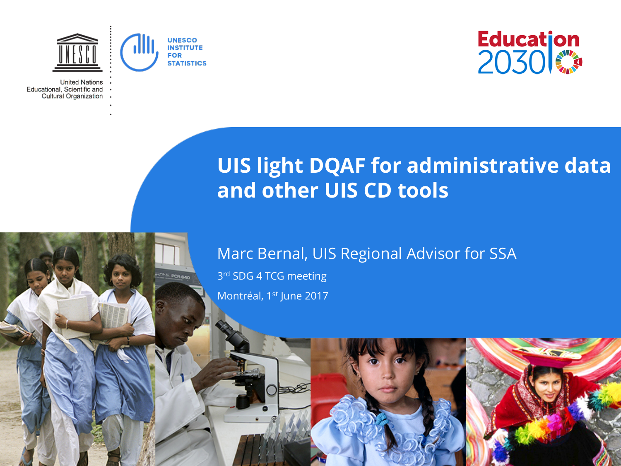

**THE POR BAY** 

**United Nations** Educational, Scientific and Cultural Organization



# **UIS light DQAF for administrative data and other UIS CD tools**

#### Marc Bernal, UIS Regional Advisor for SSA

3rd SDG 4 TCG meeting Montréal, 1st June 2017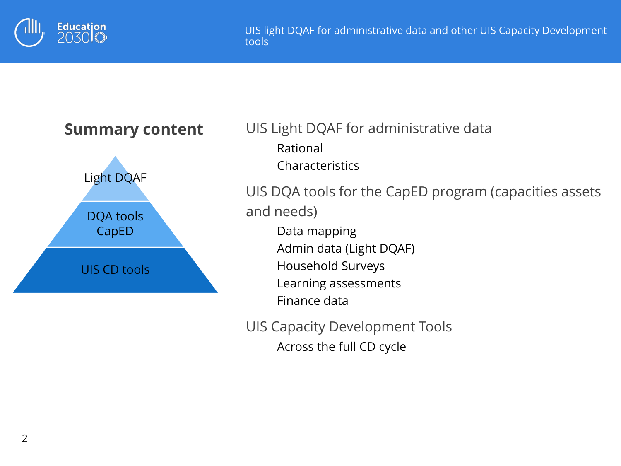



UIS Light DQAF for administrative data Rational **Characteristics** UIS DQA tools for the CapED program (capacities assets

and needs)

Data mapping Admin data (Light DQAF) Household Surveys Learning assessments

Finance data

UIS Capacity Development Tools Across the full CD cycle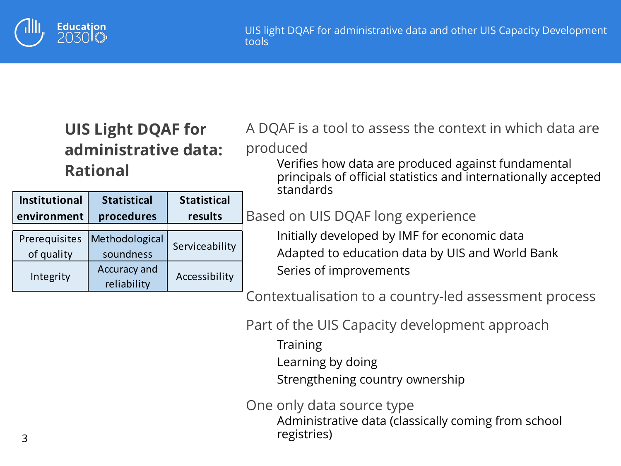

### **UIS Light DQAF for administrative data: Rational**

| <b>Institutional</b>        | <b>Statistical</b>          | <b>Statistical</b> |  |
|-----------------------------|-----------------------------|--------------------|--|
| environment                 | procedures                  | results            |  |
| Prerequisites<br>of quality | Methodological<br>soundness | Serviceability     |  |
| Integrity                   | Accuracy and<br>reliability | Accessibility      |  |

A DQAF is a tool to assess the context in which data are produced

Verifies how data are produced against fundamental principals of official statistics and internationally accepted standards

#### Based on UIS DQAF long experience

Initially developed by IMF for economic data Adapted to education data by UIS and World Bank Series of improvements

Contextualisation to a country-led assessment process

Part of the UIS Capacity development approach

- **Training**
- Learning by doing
- Strengthening country ownership

One only data source type

Administrative data (classically coming from school registries)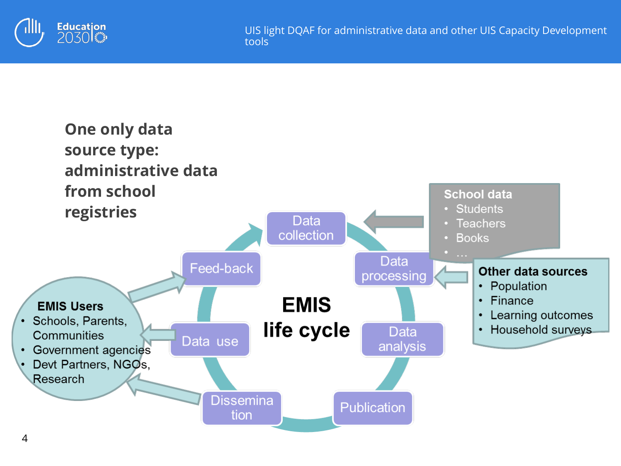

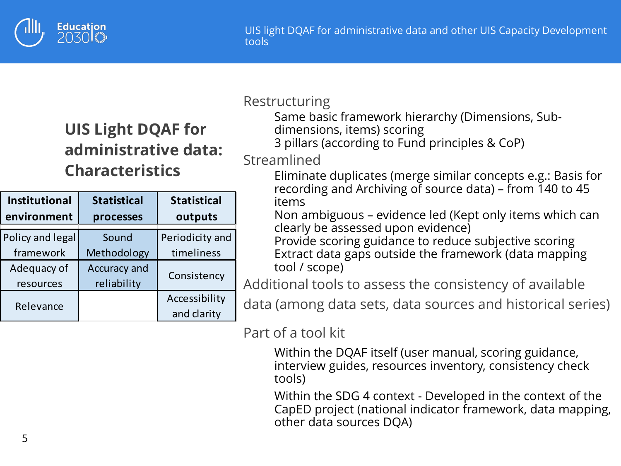

## **UIS Light DQAF for administrative data: Characteristics**

| <b>Institutional</b>     | <b>Statistical</b>          | <b>Statistical</b>           |  |
|--------------------------|-----------------------------|------------------------------|--|
| environment              | processes                   | outputs                      |  |
| Policy and legal         | Sound                       | Periodicity and              |  |
| framework                | Methodology                 | timeliness                   |  |
| Adequacy of<br>resources | Accuracy and<br>reliability | Consistency                  |  |
| Relevance                |                             | Accessibility<br>and clarity |  |

#### Restructuring

Same basic framework hierarchy (Dimensions, Sub-

- dimensions, items) scoring
- 3 pillars (according to Fund principles & CoP)

#### Streamlined

Eliminate duplicates (merge similar concepts e.g.: Basis for recording and Archiving of source data) – from 140 to 45 items

Non ambiguous – evidence led (Kept only items which can clearly be assessed upon evidence)

Provide scoring guidance to reduce subjective scoring Extract data gaps outside the framework (data mapping tool / scope)

Additional tools to assess the consistency of available

data (among data sets, data sources and historical series)

Part of a tool kit

Within the DQAF itself (user manual, scoring guidance, interview guides, resources inventory, consistency check tools)

Within the SDG 4 context - Developed in the context of the CapED project (national indicator framework, data mapping, other data sources DQA)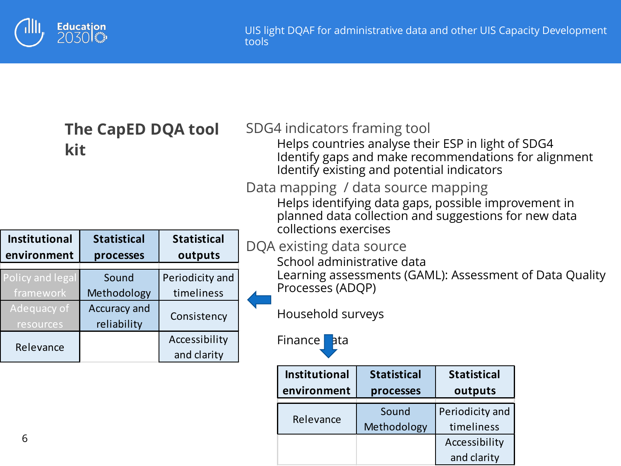

| The CapED DQA tool<br>kit           |                                 | SDG4 indicators framing tool<br>Helps countries analyse their ESP in light of SDG4<br>Identify gaps and make recommendations for alignment<br>Identify existing and potential indicators<br>Data mapping / data source mapping<br>Helps identifying data gaps, possible improvement in<br>planned data collection and suggestions for new data |                                                                                                                                                                                     |                                     |                                 |                               |  |  |
|-------------------------------------|---------------------------------|------------------------------------------------------------------------------------------------------------------------------------------------------------------------------------------------------------------------------------------------------------------------------------------------------------------------------------------------|-------------------------------------------------------------------------------------------------------------------------------------------------------------------------------------|-------------------------------------|---------------------------------|-------------------------------|--|--|
| <b>Institutional</b><br>environment | <b>Statistical</b><br>processes | <b>Statistical</b><br>outputs                                                                                                                                                                                                                                                                                                                  | collections exercises<br>DQA existing data source<br>School administrative data<br>Learning assessments (GAML): Assessment of Data Quality<br>Processes (ADQP)<br>Household surveys |                                     |                                 |                               |  |  |
| Policy and legal<br>framework       | Sound<br>Methodology            | Periodicity and<br>timeliness                                                                                                                                                                                                                                                                                                                  |                                                                                                                                                                                     |                                     |                                 |                               |  |  |
| Adequacy of<br>resources            | Accuracy and<br>reliability     | Consistency                                                                                                                                                                                                                                                                                                                                    |                                                                                                                                                                                     |                                     |                                 |                               |  |  |
| Relevance                           |                                 | Accessibility<br>and clarity                                                                                                                                                                                                                                                                                                                   |                                                                                                                                                                                     | Finance ata                         |                                 |                               |  |  |
|                                     |                                 |                                                                                                                                                                                                                                                                                                                                                |                                                                                                                                                                                     | <b>Institutional</b><br>environment | <b>Statistical</b><br>processes | <b>Statistical</b><br>outputs |  |  |

Relevance Sound

Methodology

Periodicity and timeliness Accessibility and clarity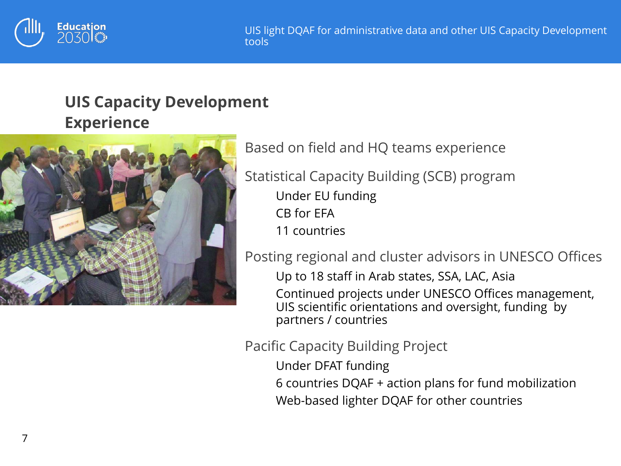

### **UIS Capacity Development Experience**



Based on field and HQ teams experience

Statistical Capacity Building (SCB) program

Under EU funding CB for EFA

11 countries

Posting regional and cluster advisors in UNESCO Offices

Up to 18 staff in Arab states, SSA, LAC, Asia

Continued projects under UNESCO Offices management, UIS scientific orientations and oversight, funding by partners / countries

#### Pacific Capacity Building Project

Under DFAT funding 6 countries DQAF + action plans for fund mobilization Web-based lighter DQAF for other countries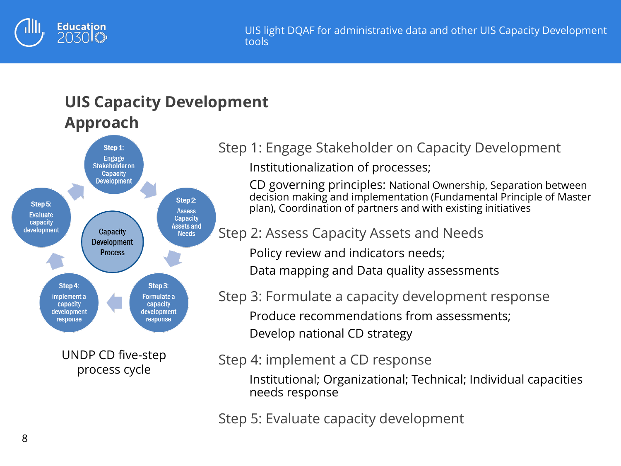

### **UIS Capacity Development Approach**



Step 1: Engage Stakeholder on Capacity Development Institutionalization of processes;

CD governing principles: National Ownership, Separation between decision making and implementation (Fundamental Principle of Master plan), Coordination of partners and with existing initiatives

Step 2: Assess Capacity Assets and Needs

Policy review and indicators needs;

Data mapping and Data quality assessments

Step 3: Formulate a capacity development response Produce recommendations from assessments; Develop national CD strategy

Step 4: implement a CD response

Institutional; Organizational; Technical; Individual capacities needs response

Step 5: Evaluate capacity development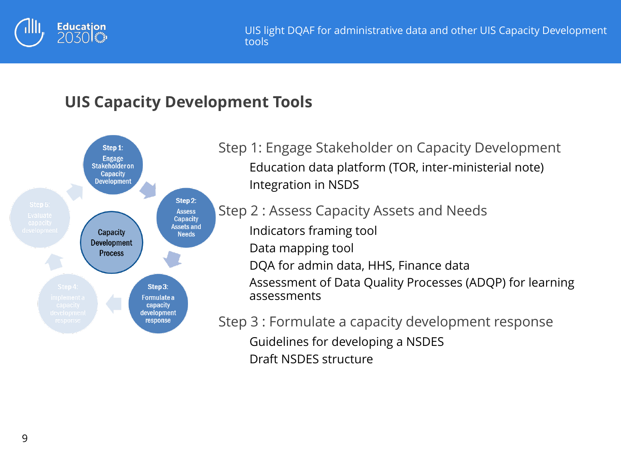

### **UIS Capacity Development Tools**



Step 1: Engage Stakeholder on Capacity Development Education data platform (TOR, inter-ministerial note) Integration in NSDS

Step 2 : Assess Capacity Assets and Needs Indicators framing tool Data mapping tool DQA for admin data, HHS, Finance data Assessment of Data Quality Processes (ADQP) for learning assessments

Step 3 : Formulate a capacity development response Guidelines for developing a NSDES Draft NSDES structure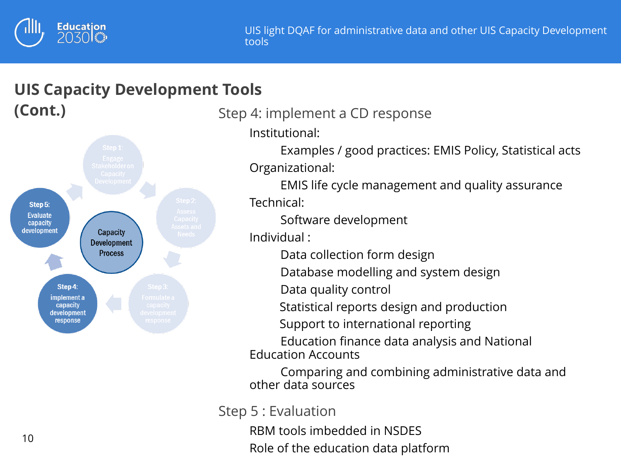

### **UIS Capacity Development Tools (Cont.)**



Step 4: implement a CD response

Institutional:

Examples / good practices: EMIS Policy, Statistical acts Organizational:

EMIS life cycle management and quality assurance Technical:

Software development

Individual :

Data collection form design

Database modelling and system design

Data quality control

Statistical reports design and production

Support to international reporting

Education finance data analysis and National Education Accounts

Comparing and combining administrative data and other data sources

Step 5 : Evaluation

RBM tools imbedded in NSDES Role of the education data platform